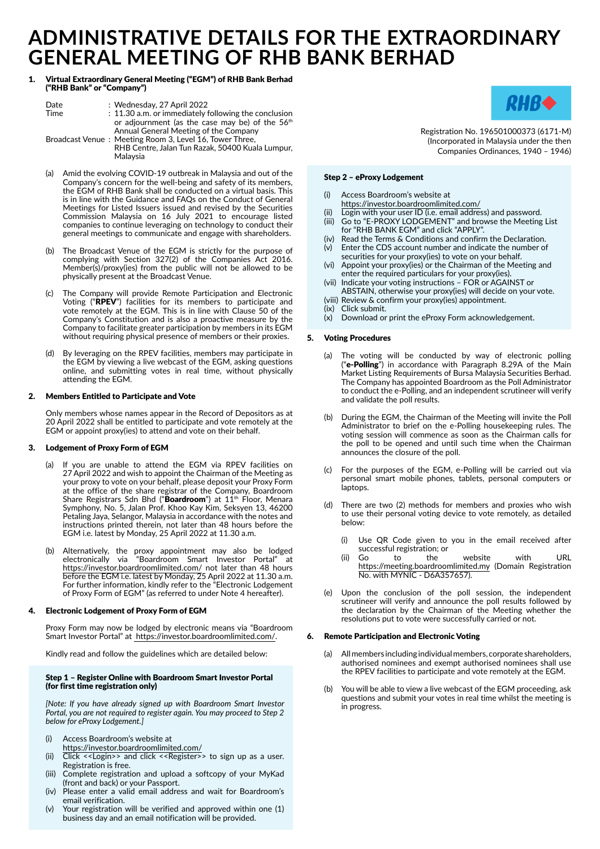# **ADMINISTRATIVE DETAILS FOR THE EXTRAORDINARY GENERAL MEETING OF RHB BANK BERHAD**

## 1. Virtual Extraordinary General Meeting ("EGM") of RHB Bank Berhad ("RHB Bank" or "Company")

| Date<br>Time | : Wednesday, 27 April 2022<br>: 11.30 a.m. or immediately following the conclusion<br>or adjournment (as the case may be) of the 56 <sup>th</sup>                |
|--------------|------------------------------------------------------------------------------------------------------------------------------------------------------------------|
|              | Annual General Meeting of the Company<br>Broadcast Venue: Meeting Room 3, Level 16, Tower Three,<br>RHB Centre, Jalan Tun Razak, 50400 Kuala Lumpur,<br>Malaysia |

- (a) Amid the evolving COVID-19 outbreak in Malaysia and out of the Company's concern for the well-being and safety of its members, the EGM of RHB Bank shall be conducted on a virtual basis. This is in line with the Guidance and FAQs on the Conduct of General Meetings for Listed Issuers issued and revised by the Securities Commission Malaysia on 16 July 2021 to encourage listed companies to continue leveraging on technology to conduct their general meetings to communicate and engage with shareholders.
- (b) The Broadcast Venue of the EGM is strictly for the purpose of complying with Section 327(2) of the Companies Act 2016. Member(s)/proxy(ies) from the public will not be allowed to be physically present at the Broadcast Venue.
- (c) The Company will provide Remote Participation and Electronic Voting ("RPEV") facilities for its members to participate and vote remotely at the EGM. This is in line with Clause 50 of the Company's Constitution and is also a proactive measure by the Company to facilitate greater participation by members in its EGM without requiring physical presence of members or their proxies.
- (d) By leveraging on the RPEV facilities, members may participate in the EGM by viewing a live webcast of the EGM, asking questions online, and submitting votes in real time, without physically attending the EGM.

# 2. Members Entitled to Participate and Vote

Only members whose names appear in the Record of Depositors as at 20 April 2022 shall be entitled to participate and vote remotely at the EGM or appoint proxy(ies) to attend and vote on their behalf.

# 3. Lodgement of Proxy Form of EGM

- (a) If you are unable to attend the EGM via RPEV facilities on 27 April 2022 and wish to appoint the Chairman of the Meeting as your proxy to vote on your behalf, please deposit your Proxy Form at the office of the share registrar of the Company, Boardroom Share Registrars Sdn Bhd ("**Boardroom**") at 11<sup>th</sup> Floor, Menara Symphony, No. 5, Jalan Prof. Khoo Kay Kim, Seksyen 13, 46200 Petaling Jaya, Selangor, Malaysia in accordance with the notes and instructions printed therein, not later than 48 hours before the EGM i.e. latest by Monday, 25 April 2022 at 11.30 a.m.
- (b) Alternatively, the proxy appointment may also be lodged electronically via "Boardroom Smart Investor Portal" at https://investor.boardroomlimited.com/ not later than 48 hours before the EGM i.e. latest by Monday, 25 April 2022 at 11.30 a.m. For further information, kindly refer to the "Electronic Lodgement of Proxy Form of EGM" (as referred to under Note 4 hereafter).

# 4. Electronic Lodgement of Proxy Form of EGM

Proxy Form may now be lodged by electronic means via "Boardroom Smart Investor Portal" at https://investor.boardroomlimited.com/.

Kindly read and follow the guidelines which are detailed below:

# Step 1 – Register Online with Boardroom Smart Investor Portal (for first time registration only)

*[Note: If you have already signed up with Boardroom Smart Investor Portal, you are not required to register again. You may proceed to Step 2 below for eProxy Lodgement.]*

- (i) Access Boardroom's website at
- https://investor.boardroomlimited.com/
- (ii) Click <<Login>> and click <<Register>> to sign up as a user. Registration is free.
- (iii) Complete registration and upload a softcopy of your MyKad (front and back) or your Passport.
- (iv) Please enter a valid email address and wait for Boardroom's email verification.
- (v) Your registration will be verified and approved within one (1) business day and an email notification will be provided.



Registration No. 196501000373 (6171-M) (Incorporated in Malaysia under the then Companies Ordinances, 1940 – 1946)

# Step 2 – eProxy Lodgement

- (i) Access Boardroom's website at
- https://investor.boardroomlimited.com/
- (ii) Login with your user ID (i.e. email address) and password. (iii) Go to "E-PROXY LODGEMENT" and browse the Meeting List for "RHB BANK EGM" and click "APPLY".
- (iv) Read the Terms & Conditions and confirm the Declaration.
- (v) Enter the CDS account number and indicate the number of securities for your proxy(ies) to vote on your behalf.
- (vi) Appoint your proxy(ies) or the Chairman of the Meeting and enter the required particulars for your proxy(ies).
- (vii) Indicate your voting instructions FOR or AGAINST or ABSTAIN, otherwise your proxy(ies) will decide on your vote.
- (viii) Review & confirm your proxy(ies) appointment.
- (ix) Click submit.
- $(x)$  Download or print the eProxy Form acknowledgement.

# 5. Voting Procedures

- (a) The voting will be conducted by way of electronic polling ("**e-Polling**") in accordance with Paragraph 8.29A of the Main Market Listing Requirements of Bursa Malaysia Securities Berhad. The Company has appointed Boardroom as the Poll Administrator to conduct the e-Polling, and an independent scrutineer will verify and validate the poll results.
- (b) During the EGM, the Chairman of the Meeting will invite the Poll Administrator to brief on the e-Polling housekeeping rules. The voting session will commence as soon as the Chairman calls for the poll to be opened and until such time when the Chairman announces the closure of the poll.
- (c) For the purposes of the EGM, e-Polling will be carried out via personal smart mobile phones, tablets, personal computers or laptops.
- (d) There are two (2) methods for members and proxies who wish to use their personal voting device to vote remotely, as detailed below:
	- (i) Use QR Code given to you in the email received after successful registration; or<br>(ii) Go to the
	- (ii) Go to the website with URL https://meeting.boardroomlimited.my (Domain Registration No. with MYNIC - D6A357657).
- (e) Upon the conclusion of the poll session, the independent scrutineer will verify and announce the poll results followed by the declaration by the Chairman of the Meeting whether the resolutions put to vote were successfully carried or not.

# 6. Remote Participation and Electronic Voting

- (a) All members including individual members, corporate shareholders, authorised nominees and exempt authorised nominees shall use the RPEV facilities to participate and vote remotely at the EGM.
- (b) You will be able to view a live webcast of the EGM proceeding, ask questions and submit your votes in real time whilst the meeting is in progress.